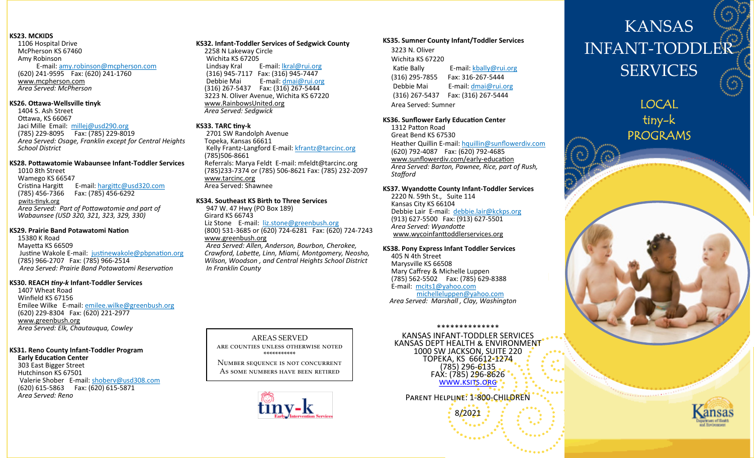#### **KS23. MCKIDS**

1106 Hospital Drive McPherson KS 67460 Amy Robinson E-mail: [amy.robinson@mcpherson.com](mailto:amy.robinson@mcpherson.com) (620) 241-9595 Fax: (620) 241-1760 [www.mcpherson.com](http://www.mcphersoncountyks.us/)  *Area Served: McPherson* 

#### **KS26. Ottawa-Wellsville tinyk**

 1404 S. Ash Street Ottawa, KS 66067 Jaci Mille Email: [millej@usd290.org](mailto:millej@usd290.org) (785) 229-8095 Fax: (785) 229-8019 *Area Served: Osage, Franklin except for Central Heights School District*

# **KS28. Pottawatomie Wabaunsee Infant-Toddler Services**

 1010 8th Street Wamego KS 66547<br>Cristina Hargitt Cristina Hargitt E-mail: [hargittc@usd320.com](mailto:hargittc@usd320.com)<br>(785) 456-7366 Fax: (785) 456-6292 Fax: (785) 456-6292 pwits-[tinyk.org](pwits-tinyk.org) *Area Served: Part of Pottawatomie and part of Wabaunsee (USD 320, 321, 323, 329, 330)*

## **KS29. Prairie Band Potawatomi Nation**

 15380 K Road Mayetta KS 66509 Justine Wakole E-mail: [justinewakole@pbpnation.org](mailto:justinewakole@pbpnation.org) (785) 966-2707 Fax: (785) 966-2514 *Area Served: Prairie Band Potawatomi Reservation* 

#### **KS30. REACH** *tiny-k* **Infant-Toddler Services**

1407 Wheat Road Winfield KS 67156 Emilee Wilke E-mail: [emilee.wilke@greenbush.org](mailto:emilee.wilke@greenbush.org) (620) 229-8304 Fax: (620) 221-2977 [www.greenbush.org](http://www.greenbush.org)  *Area Served: Elk, Chautauqua, Cowley*

#### **KS31. Reno County Infant-Toddler Program**

 **Early Education Center** 303 East Bigger Street Hutchinson KS 67501 Valerie Shober E-mail: [shoberv@usd308.com](mailto:shoberv@usd308.com) (620) 615-5863 Fax: (620) 615-5871 *Area Served: Reno* 

**KS32. Infant-Toddler Services of Sedgwick County** 2258 N Lakeway Circle Wichita KS 67205<br>Lindsay Kral E-mail: [lkral@rui.org](mailto:lkral@rui.org) (316) 945-7117 Fax: (316) 945-7447<br>Debbie Mai F-mail: dmai@rui.or E-mail: [dmai@rui.org](mailto:dmai@rui.org) (316) 267-5437 Fax: (316) 267-5444 3223 N. Oliver Avenue, Wichita KS 67220 [www.RainbowsUnited.org](http://www.RainbowsUnited.org)  *Area Served: Sedgwick* 

## **KS33. TARC tiny-k**

2701 SW Randolph Avenue Topeka, Kansas 66611 Kelly Frantz-Langford E-mail: [kfrantz@tarcinc.org](mailto:kfrantz@tarcinc.org) (785)506-8661 Referrals: Marya Feldt E-mail: mfeldt@tarcinc.org (785)233-7374 or (785) 506-8621 Fax: (785) 232-2097 [www.tarcinc.org](http://www.tarcinc.org) Area Served: Shawnee

## **KS34. Southeast KS Birth to Three Services**

947 W. 47 Hwy (PO Box 189) Girard KS 66743 Liz Stone E-mail: [liz.stone@greenbush.org](mailto:liz.stone@greenbush.org) (800) 531-3685 or (620) 724-6281 Fax: (620) 724-7243 [www.greenbush.org](http://www.greenbush.org) *Area Served: Allen, Anderson, Bourbon, Cherokee,* 

 *Crawford, Labette, Linn, Miami, Montgomery, Neosho, Wilson, Woodson , and Central Heights School District In Franklin County* 

AREAS SERVED are counties unless otherwise noted \*\*\*\*\*\*\*\*\*\*\* Number sequence is not concurrent As some numbers have been retired

# **KS35. Sumner County Infant/Toddler Services**

 3223 N. Oliver Wichita KS 67220 Katie Bally E-mail: [kbally@rui.org](mailto:kbally@rue.org) (316) 295-7855 Fax: 316-267-5444 Debbie Mai E-mail: [dmai@rui.org](mailto:dmai@rui.org) (316) 267-5437 Fax: (316) 267-5444 Area Served: Sumner

# **KS36. Sunflower Early Education Center**

1312 Patton Road Great Bend KS 67530 Heather Quillin E-mail: [hquillin@sunflowerdiv.com](mailto:hquillin@sunflowerdiv.com) (620) 792-4087 Fax: (620) 792-4685 [www.sunflowerdiv.com/early](http://www.sunflowerdiv.com/EarlyEducation.htm)-education *Area Served: Barton, Pawnee, Rice, part of Rush, Stafford* 

# **KS37. Wyandotte County Infant-Toddler Services**

 2220 N. 59th St., Suite 114 Kansas City KS 66104 Debbie Lair E-mail: [debbie.lair@kckps.org](mailto:debbie.lair@kckps.org) (913) 627-5500 Fax: (913) 627-5501 *Area Served: Wyandotte* www.wycoinfanttoddlerservices.org

#### **KS38. Pony Express Infant Toddler Services** 405 N 4th Street

 Marysville KS 66508 Mary Caffrey & Michelle Luppen (785) 562-5502 Fax: (785) 629-8388 E-mail: [mcits1@yahoo.com](mailto:mcits1@yahoo.com) [michelleluppen@yahoo.com](mailto:michelleluppen@yahoo.com) *Area Served: Marshall , Clay, Washington*

\*\*\*\*\*\*\*\*\*\*\*\*\*\*

KANSAS INFANT-TODDLER SERVICES KANSAS DEPT HEALTH & ENVIRONMENT 1000 SW JACKSON, SUITE 220 TOPEKA, KS 66612-1274 (785) 296-6135 FAX: (785) 296-8626 [www.ksits.org](http://www.ksits.org)

Parent Helpline: 1-800-CHILDREN

8/2021

# KANSAS INFANT-TODDLER **SERVICES**

LOCAL tiny-k PROGRAMS